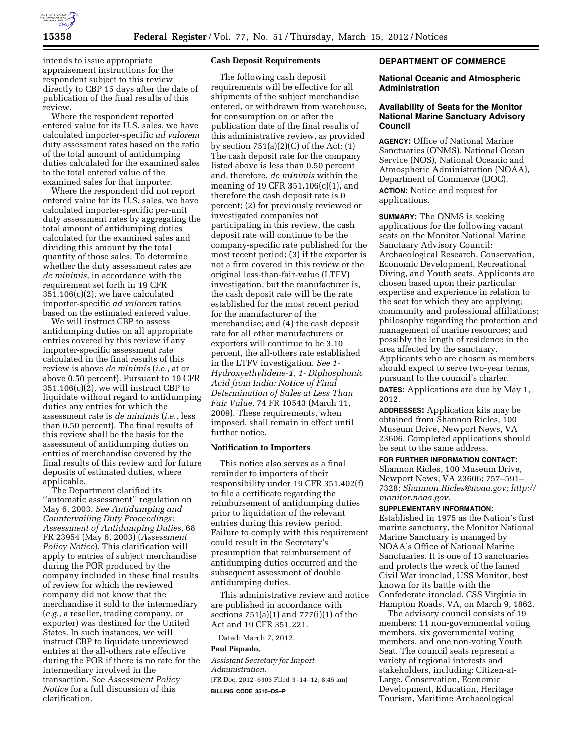

intends to issue appropriate appraisement instructions for the respondent subject to this review directly to CBP 15 days after the date of publication of the final results of this review.

Where the respondent reported entered value for its U.S. sales, we have calculated importer-specific *ad valorem*  duty assessment rates based on the ratio of the total amount of antidumping duties calculated for the examined sales to the total entered value of the examined sales for that importer.

Where the respondent did not report entered value for its U.S. sales, we have calculated importer-specific per-unit duty assessment rates by aggregating the total amount of antidumping duties calculated for the examined sales and dividing this amount by the total quantity of those sales. To determine whether the duty assessment rates are *de minimis*, in accordance with the requirement set forth in 19 CFR 351.106(c)(2), we have calculated importer-specific *ad valorem* ratios based on the estimated entered value.

We will instruct CBP to assess antidumping duties on all appropriate entries covered by this review if any importer-specific assessment rate calculated in the final results of this review is above *de minimis* (*i.e.*, at or above 0.50 percent). Pursuant to 19 CFR 351.106(c)(2), we will instruct CBP to liquidate without regard to antidumping duties any entries for which the assessment rate is *de minimis* (*i.e.*, less than 0.50 percent). The final results of this review shall be the basis for the assessment of antidumping duties on entries of merchandise covered by the final results of this review and for future deposits of estimated duties, where applicable.

The Department clarified its ''automatic assessment'' regulation on May 6, 2003. *See Antidumping and Countervailing Duty Proceedings: Assessment of Antidumping Duties,* 68 FR 23954 (May 6, 2003) (*Assessment Policy Notice*). This clarification will apply to entries of subject merchandise during the POR produced by the company included in these final results of review for which the reviewed company did not know that the merchandise it sold to the intermediary (*e.g.*, a reseller, trading company, or exporter) was destined for the United States. In such instances, we will instruct CBP to liquidate unreviewed entries at the all-others rate effective during the POR if there is no rate for the intermediary involved in the transaction. *See Assessment Policy Notice* for a full discussion of this clarification.

## **Cash Deposit Requirements**

The following cash deposit requirements will be effective for all shipments of the subject merchandise entered, or withdrawn from warehouse, for consumption on or after the publication date of the final results of this administrative review, as provided by section  $751(a)(2)(C)$  of the Act:  $(1)$ The cash deposit rate for the company listed above is less than 0.50 percent and, therefore, *de minimis* within the meaning of 19 CFR 351.106(c)(1), and therefore the cash deposit rate is 0 percent; (2) for previously reviewed or investigated companies not participating in this review, the cash deposit rate will continue to be the company-specific rate published for the most recent period; (3) if the exporter is not a firm covered in this review or the original less-than-fair-value (LTFV) investigation, but the manufacturer is, the cash deposit rate will be the rate established for the most recent period for the manufacturer of the merchandise; and (4) the cash deposit rate for all other manufacturers or exporters will continue to be 3.10 percent, the all-others rate established in the LTFV investigation. *See 1- Hydroxyethylidene-1, 1- Diphosphonic Acid from India: Notice of Final Determination of Sales at Less Than Fair Value,* 74 FR 10543 (March 11, 2009). These requirements, when imposed, shall remain in effect until further notice.

# **Notification to Importers**

This notice also serves as a final reminder to importers of their responsibility under 19 CFR 351.402(f) to file a certificate regarding the reimbursement of antidumping duties prior to liquidation of the relevant entries during this review period. Failure to comply with this requirement could result in the Secretary's presumption that reimbursement of antidumping duties occurred and the subsequent assessment of double antidumping duties.

This administrative review and notice are published in accordance with sections  $751(a)(1)$  and  $777(i)(1)$  of the Act and 19 CFR 351.221.

Dated: March 7, 2012.

### **Paul Piquado,**

*Assistant Secretary for Import Administration.*  [FR Doc. 2012–6303 Filed 3–14–12; 8:45 am]

**BILLING CODE 3510–DS–P** 

# **DEPARTMENT OF COMMERCE**

## **National Oceanic and Atmospheric Administration**

# **Availability of Seats for the Monitor National Marine Sanctuary Advisory Council**

**AGENCY:** Office of National Marine Sanctuaries (ONMS), National Ocean Service (NOS), National Oceanic and Atmospheric Administration (NOAA), Department of Commerce (DOC). **ACTION:** Notice and request for applications.

**SUMMARY:** The ONMS is seeking applications for the following vacant seats on the Monitor National Marine Sanctuary Advisory Council: Archaeological Research, Conservation, Economic Development, Recreational Diving, and Youth seats. Applicants are chosen based upon their particular expertise and experience in relation to the seat for which they are applying; community and professional affiliations; philosophy regarding the protection and management of marine resources; and possibly the length of residence in the area affected by the sanctuary. Applicants who are chosen as members should expect to serve two-year terms, pursuant to the council's charter.

**DATES:** Applications are due by May 1, 2012.

**ADDRESSES:** Application kits may be obtained from Shannon Ricles, 100 Museum Drive, Newport News, VA 23606. Completed applications should be sent to the same address.

# **FOR FURTHER INFORMATION CONTACT:**

Shannon Ricles, 100 Museum Drive, Newport News, VA 23606; 757–591– 7328; *[Shannon.Ricles@noaa.gov;](mailto:Shannon.Ricles@noaa.gov) [http://](http://monitor.noaa.gov) [monitor.noaa.gov.](http://monitor.noaa.gov)* 

## **SUPPLEMENTARY INFORMATION:**

Established in 1975 as the Nation's first marine sanctuary, the Monitor National Marine Sanctuary is managed by NOAA's Office of National Marine Sanctuaries. It is one of 13 sanctuaries and protects the wreck of the famed Civil War ironclad, USS Monitor, best known for its battle with the Confederate ironclad, CSS Virginia in Hampton Roads, VA, on March 9, 1862.

The advisory council consists of 19 members: 11 non-governmental voting members, six governmental voting members, and one non-voting Youth Seat. The council seats represent a variety of regional interests and stakeholders, including: Citizen-at-Large, Conservation, Economic Development, Education, Heritage Tourism, Maritime Archaeological